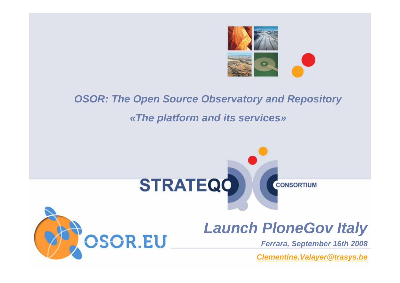

# **OSOR: The Open Source Observatory and Repository** *«The platform and its services»*

OSOR.EU



# *Launch PloneGov Italy*

*Ferrara, September 16th 2008* 

*[Clementine.Valayer@trasys.be](mailto:Clementine.Valayer@trasys.be)*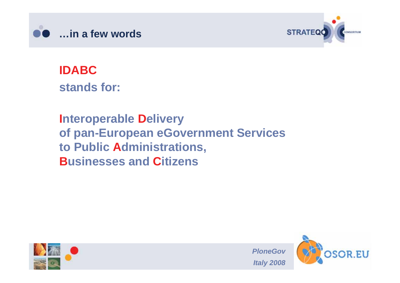



**IDABCstands for:** 

**Interoperable Delivery of pan-European eGovernment Services to Public Administrations, Businesses and Citizens**



*PloneGov Italy 2008* 

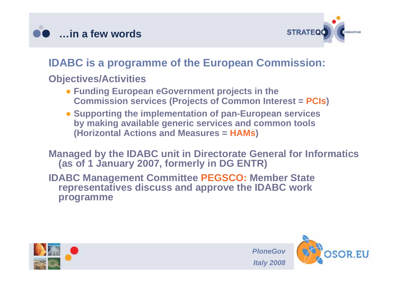



#### **IDABC is a programme of the European Commission:**

#### **Objectives/Activities**

- **Funding European eGovernment projects in the Commission services (Projects of Common Interest = PCIs)**
- **Supporting the implementation of pan-European services by making available generic services and common tools (Horizontal Actions and Measures = HAMs)**

**Managed by the IDABC unit in Directorate General for Informatics (as of 1 January 2007, formerly in DG ENTR)**

**IDABC Management Committee PEGSCO: Member State representatives discuss and approve the IDABC work programme**





*PloneGov*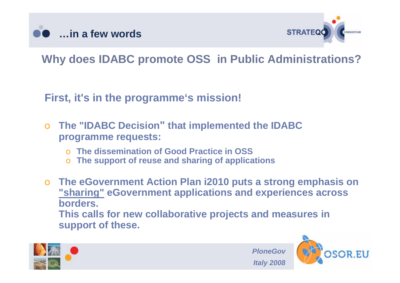



## **Why does IDABC promote OSS in Public Administrations?**

**First, it's in the programme's mission!**

- o **The "IDABC Decision" that implemented the IDABC programme requests:**
	- o **The dissemination of Good Practice in OSS**
	- o **The support of reuse and sharing of applications**
- o **The eGovernment Action Plan i2010 puts a strong emphasis on "sharing" eGovernment applications and experiences across borders. This calls for new collaborative projects and measures in support of these.**





*PloneGov*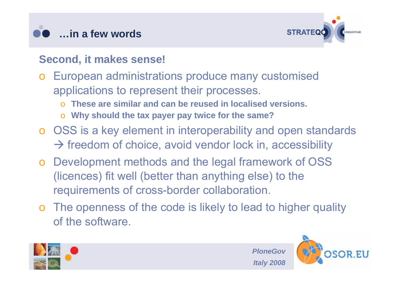



#### **Second, it makes sense!**

- o European administrations produce many customised applications to represent their processes.
	- o**These are similar and can be reused in localised versions.**
	- o**Why should the tax payer pay twice for the same?**
- o OSS is a key element in interoperability and open standards  $\rightarrow$  freedom of choice, avoid vendor lock in, accessibility
- o Development methods and the legal framework of OSS (licences) fit well (better than anything else) to the requirements of cross-border collaboration.
- o The openness of the code is likely to lead to higher quality of the software.





*PloneGov*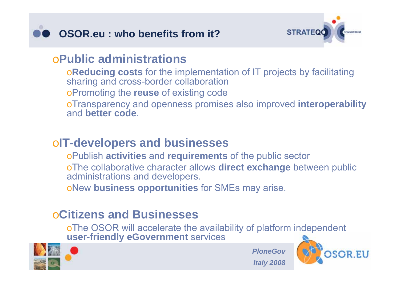



#### o**Public administrations**

<sup>o</sup>**Reducing costs** for the implementation of IT projects by facilitating sharing and cross-border collaboration oPromoting the **reuse** of existing code oTransparency and openness promises also improved **interoperability**  and **better code**.

#### <sup>o</sup>**IT-developers and businesses**

oPublish **activities** and **requirements** of the public sector

oThe collaborative character allows **direct exchange** between public administrations and developers.

oNew **business opportunities** for SMEs may arise.

### o**Citizens and Businesses**

oThe OSOR will accelerate the availability of platform independent **user-friendly eGovernment** services



*PloneGov Italy 2008* 

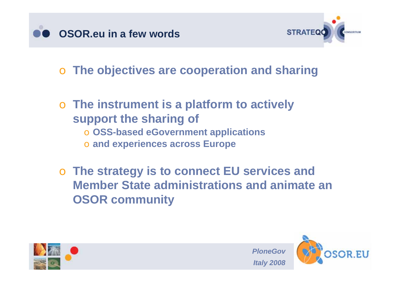



o **The objectives are cooperation and sharing**

## o **The instrument is a platform to actively support the sharing of**

- o **OSS-based eGovernment applications**
- o **and experiences across Europe**

o **The strategy is to connect EU services and Member State administrations and animate an OSOR community**





*PloneGov*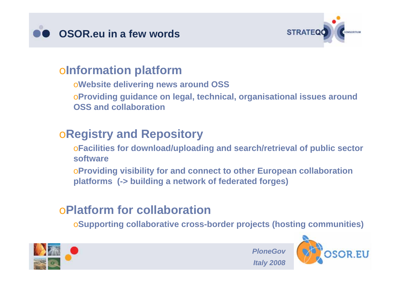



#### <sup>o</sup>**Information platform**

<sup>o</sup>**Website delivering news around OSS**

<sup>o</sup>**Providing guidance on legal, technical, organisational issues around OSS and collaboration**

#### <sup>o</sup>**Registry and Repository**

<sup>o</sup>**Facilities for download/uploading and search/retrieval of public sector software**

<sup>o</sup>**Providing visibility for and connect to other European collaboration platforms (-> building a network of federated forges)**

## o**Platform for collaboration**

o**Supporting collaborative cross-border projects (hosting communities)**

*PloneGov* 



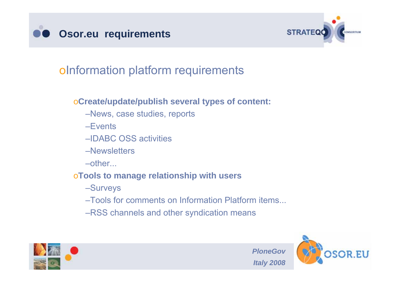



### oInformation platform requirements

#### <sup>o</sup>**Create/update/publish several types of content:**

- –News, case studies, reports
- –Events
- –IDABC OSS activities
- –Newsletters
- –other...

#### <sup>o</sup>**Tools to manage relationship with users**

- –Surveys
- –Tools for comments on Information Platform items...
- –RSS channels and other syndication means





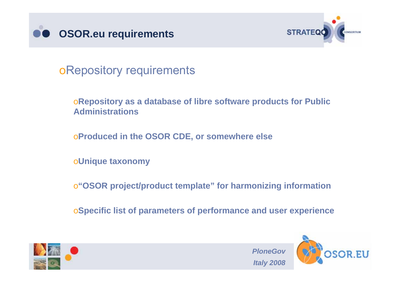



oRepository requirements

<sup>o</sup>**Repository as a database of libre software products for Public Administrations**

<sup>o</sup>**Produced in the OSOR CDE, or somewhere else**

<sup>o</sup>**Unique taxonomy**

<sup>o</sup>**"OSOR project/product template" for harmonizing information**

o**Specific list of parameters of performance and user experience**



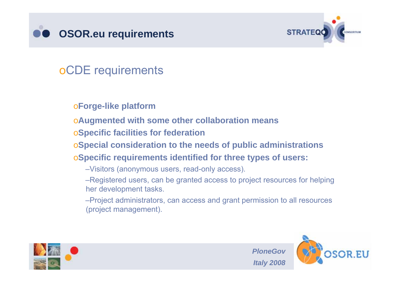



## oCDE requirements

#### <sup>o</sup>**Forge-like platform**

- <sup>o</sup>**Augmented with some other collaboration means**
- <sup>o</sup>**Specific facilities for federation**
- <sup>o</sup>**Special consideration to the needs of public administrations**
- <sup>o</sup>**Specific requirements identified for three types of users:**
	- –Visitors (anonymous users, read-only access).
	- –Registered users, can be granted access to project resources for helping her development tasks.
	- –Project administrators, can access and grant permission to all resources (project management).



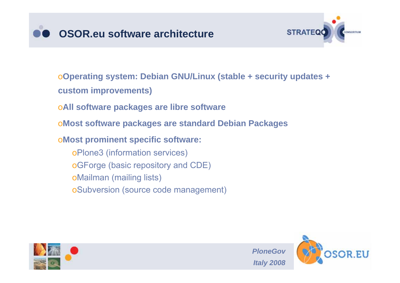



<sup>o</sup>**Operating system: Debian GNU/Linux (stable + security updates + custom improvements)**

- <sup>o</sup>**All software packages are libre software**
- <sup>o</sup>**Most software packages are standard Debian Packages**
- <sup>o</sup>**Most prominent specific software:**

oPlone3 (information services) oGForge (basic repository and CDE) oMailman (mailing lists) oSubversion (source code management)



*PloneGov Italy 2008* 

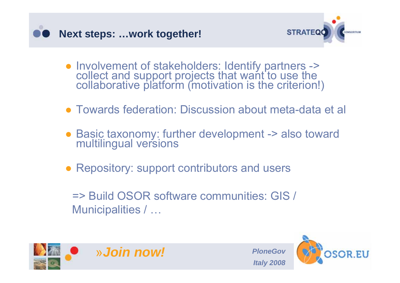



- Involvement of stakeholders: Identify partners -> collect and support projects that want to use the collaborative platform (motivation is the criterion!)
- Towards federation: Discussion about meta-data et al
- Basic taxonomy: further development -> also toward multilingual versions
- Repository: support contributors and users
	- => Build OSOR software communities: GIS / Municipalities / …





*PloneGov*